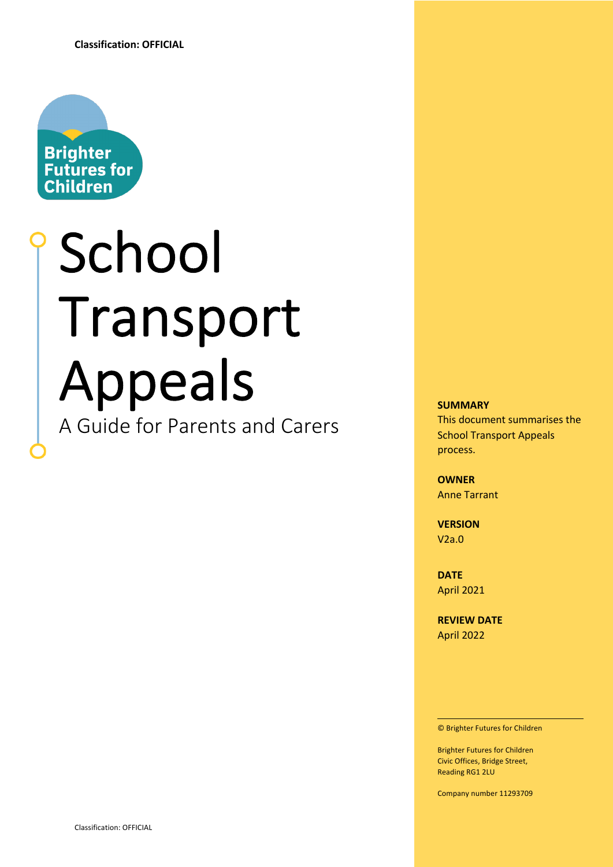

# School Transport Appeals A Guide for Parents and Carers

#### **SUMMARY**

This document summarises the School Transport Appeals process.

**OWNER** Anne Tarrant

**VERSION** V2a.0

**DATE** April 2021

**REVIEW DATE** April 2022

© Brighter Futures for Children

Brighter Futures for Children Civic Offices, Bridge Street, Reading RG1 2LU

Company number 11293709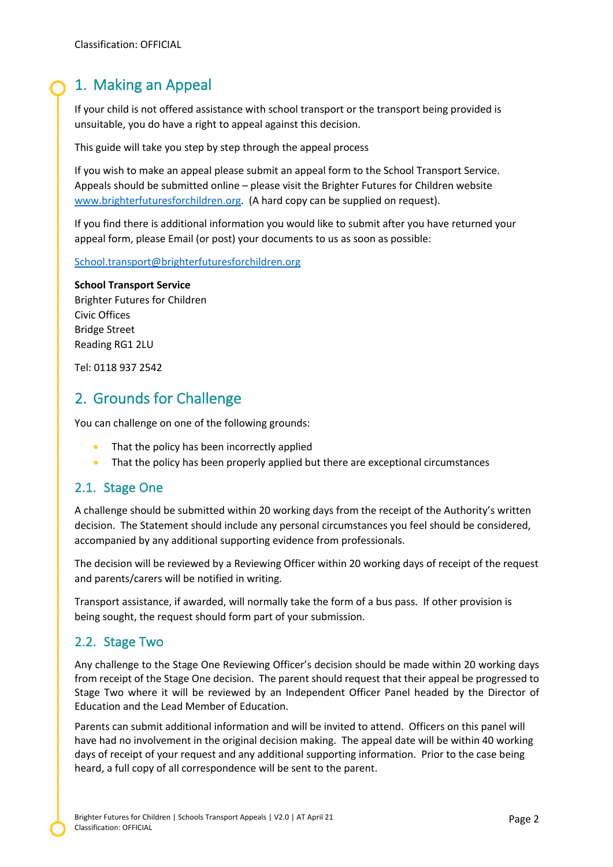# 1. Making an Appeal

If your child is not offered assistance with school transport or the transport being provided is unsuitable, you do have a right to appeal against this decision.

This guide will take you step by step through the appeal process

If you wish to make an appeal please submit an appeal form to the School Transport Service. Appeals should be submitted online – please visit the Brighter Futures for Children website www.brighterfuturesforchildren.org. (A hard copy can be supplied on request).

If you find there is additional information you would like to submit after you have returned your appeal form, please Email (or post) your documents to us as soon as possible:

School.transport@brighterfuturesforchildren.org

#### **School Transport Service**

Brighter Futures for Children Civic Offices Bridge Street Reading RG1 2LU

Tel: 0118 937 2542

# 2. Grounds for Challenge

You can challenge on one of the following grounds:

- That the policy has been incorrectly applied
- That the policy has been properly applied but there are exceptional circumstances

### 2.1. Stage One

A challenge should be submitted within 20 working days from the receipt of the Authority's written decision. The Statement should include any personal circumstances you feel should be considered, accompanied by any additional supporting evidence from professionals.

The decision will be reviewed by a Reviewing Officer within 20 working days of receipt of the request and parents/carers will be notified in writing.

Transport assistance, if awarded, will normally take the form of a bus pass. If other provision is being sought, the request should form part of your submission.

## 2.2. Stage Two

Any challenge to the Stage One Reviewing Officer's decision should be made within 20 working days from receipt of the Stage One decision. The parent should request that their appeal be progressed to Stage Two where it will be reviewed by an Independent Officer Panel headed by the Director of Education and the Lead Member of Education.

Parents can submit additional information and will be invited to attend. Officers on this panel will have had no involvement in the original decision making. The appeal date will be within 40 working days of receipt of your request and any additional supporting information. Prior to the case being heard, a full copy of all correspondence will be sent to the parent.